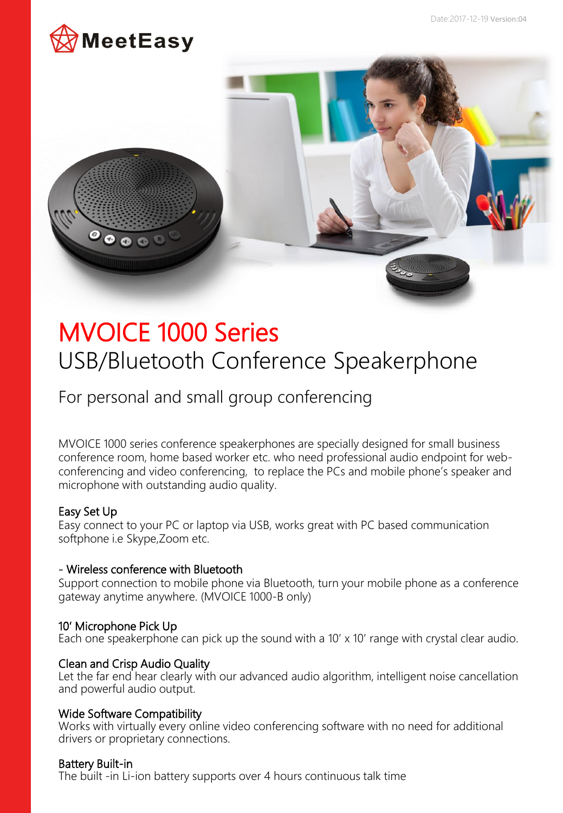



# MVOICE 1000 Series USB/Bluetooth Conference Speakerphone

For personal and small group conferencing

MVOICE 1000 series conference speakerphones are specially designed for small business conference room, home based worker etc. who need professional audio endpoint for webconferencing and video conferencing, to replace the PCs and mobile phone's speaker and microphone with outstanding audio quality.

## Easy Set Up

Easy connect to your PC or laptop via USB, works great with PC based communication softphone i.e Skype,Zoom etc.

## - Wireless conference with Bluetooth

Support connection to mobile phone via Bluetooth, turn your mobile phone as a conference gateway anytime anywhere. (MVOICE 1000-B only)

## 10′ Microphone Pick Up

Each one speakerphone can pick up the sound with a 10' x 10' range with crystal clear audio.

### Clean and Crisp Audio Quality

Let the far end hear clearly with our advanced audio algorithm, intelligent noise cancellation and powerful audio output.

## Wide Software Compatibility

Works with virtually every online video conferencing software with no need for additional drivers or proprietary connections.

## Battery Built-in

The built -in Li-ion battery supports over 4 hours continuous talk time